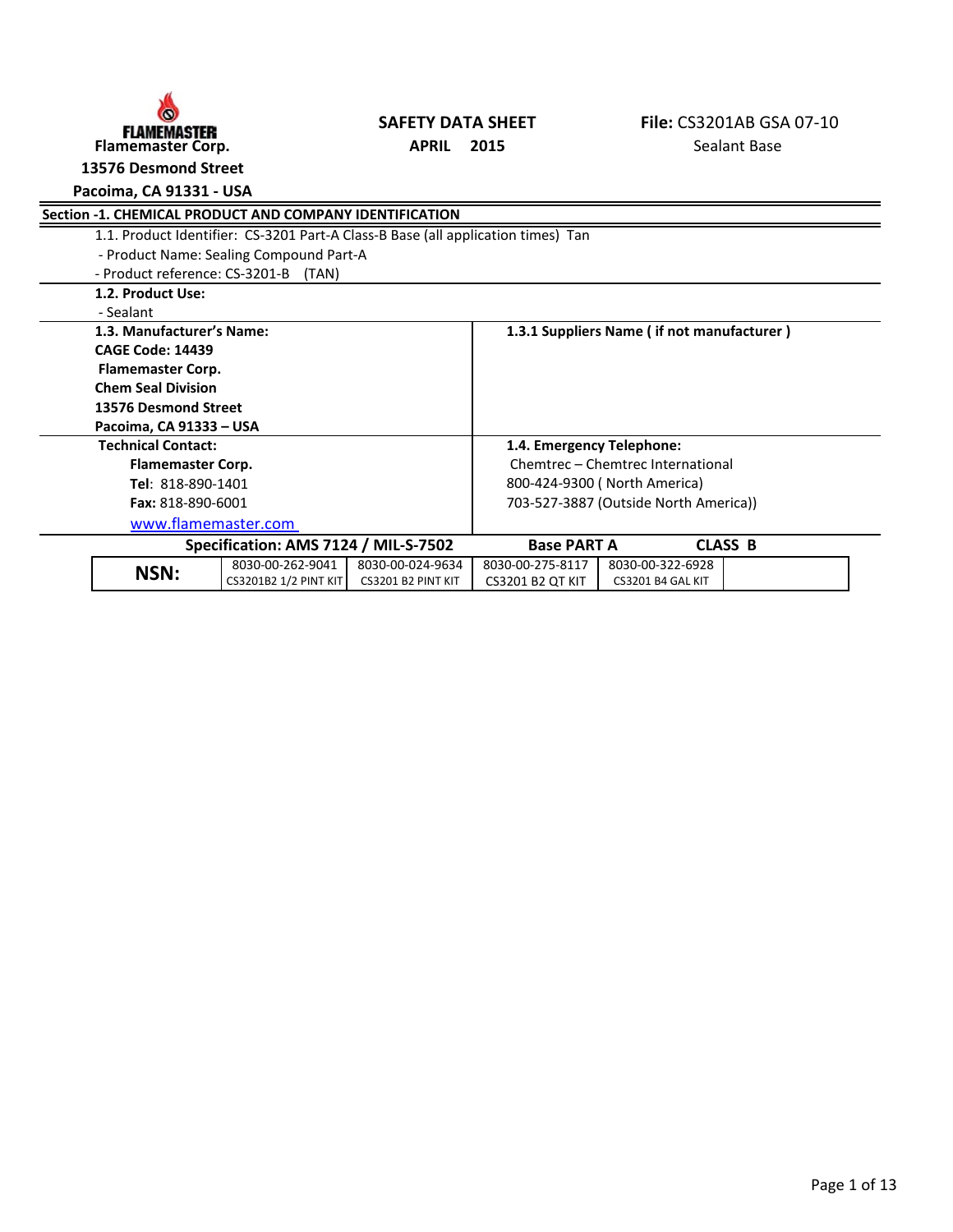

# **FIAMEMASTER SAFETY DATA SHEET** FIIE: CS3201AB GSA<br>Flamemaster Corp. **APRIL 2015 APRIL 2015** Sealant Base

**13576 Desmond Street**

**Pacoima, CA 91331 - USA**

| , acoma, ca sissi - osa                 |                                                                                  |                    |                                       |                                            |                |  |
|-----------------------------------------|----------------------------------------------------------------------------------|--------------------|---------------------------------------|--------------------------------------------|----------------|--|
|                                         | Section -1. CHEMICAL PRODUCT AND COMPANY IDENTIFICATION                          |                    |                                       |                                            |                |  |
|                                         | 1.1. Product Identifier: CS-3201 Part-A Class-B Base (all application times) Tan |                    |                                       |                                            |                |  |
| - Product Name: Sealing Compound Part-A |                                                                                  |                    |                                       |                                            |                |  |
| - Product reference: CS-3201-B (TAN)    |                                                                                  |                    |                                       |                                            |                |  |
| 1.2. Product Use:                       |                                                                                  |                    |                                       |                                            |                |  |
| - Sealant                               |                                                                                  |                    |                                       |                                            |                |  |
| 1.3. Manufacturer's Name:               |                                                                                  |                    |                                       | 1.3.1 Suppliers Name (if not manufacturer) |                |  |
| <b>CAGE Code: 14439</b>                 |                                                                                  |                    |                                       |                                            |                |  |
| <b>Flamemaster Corp.</b>                |                                                                                  |                    |                                       |                                            |                |  |
| <b>Chem Seal Division</b>               |                                                                                  |                    |                                       |                                            |                |  |
| 13576 Desmond Street                    |                                                                                  |                    |                                       |                                            |                |  |
| Pacoima, CA 91333 - USA                 |                                                                                  |                    |                                       |                                            |                |  |
| <b>Technical Contact:</b>               |                                                                                  |                    | 1.4. Emergency Telephone:             |                                            |                |  |
| <b>Flamemaster Corp.</b>                |                                                                                  |                    | Chemtrec - Chemtrec International     |                                            |                |  |
| Tel: 818-890-1401                       |                                                                                  |                    | 800-424-9300 (North America)          |                                            |                |  |
| Fax: 818-890-6001                       |                                                                                  |                    | 703-527-3887 (Outside North America)) |                                            |                |  |
| www.flamemaster.com                     |                                                                                  |                    |                                       |                                            |                |  |
| Specification: AMS 7124 / MIL-S-7502    |                                                                                  |                    | <b>Base PART A</b>                    |                                            | <b>CLASS B</b> |  |
| NSN:                                    | 8030-00-262-9041                                                                 | 8030-00-024-9634   | 8030-00-275-8117                      | 8030-00-322-6928                           |                |  |
|                                         | <b>CS3201B2 1/2 PINT KIT</b>                                                     | CS3201 B2 PINT KIT | <b>CS3201 B2 QT KIT</b>               | CS3201 B4 GAL KIT                          |                |  |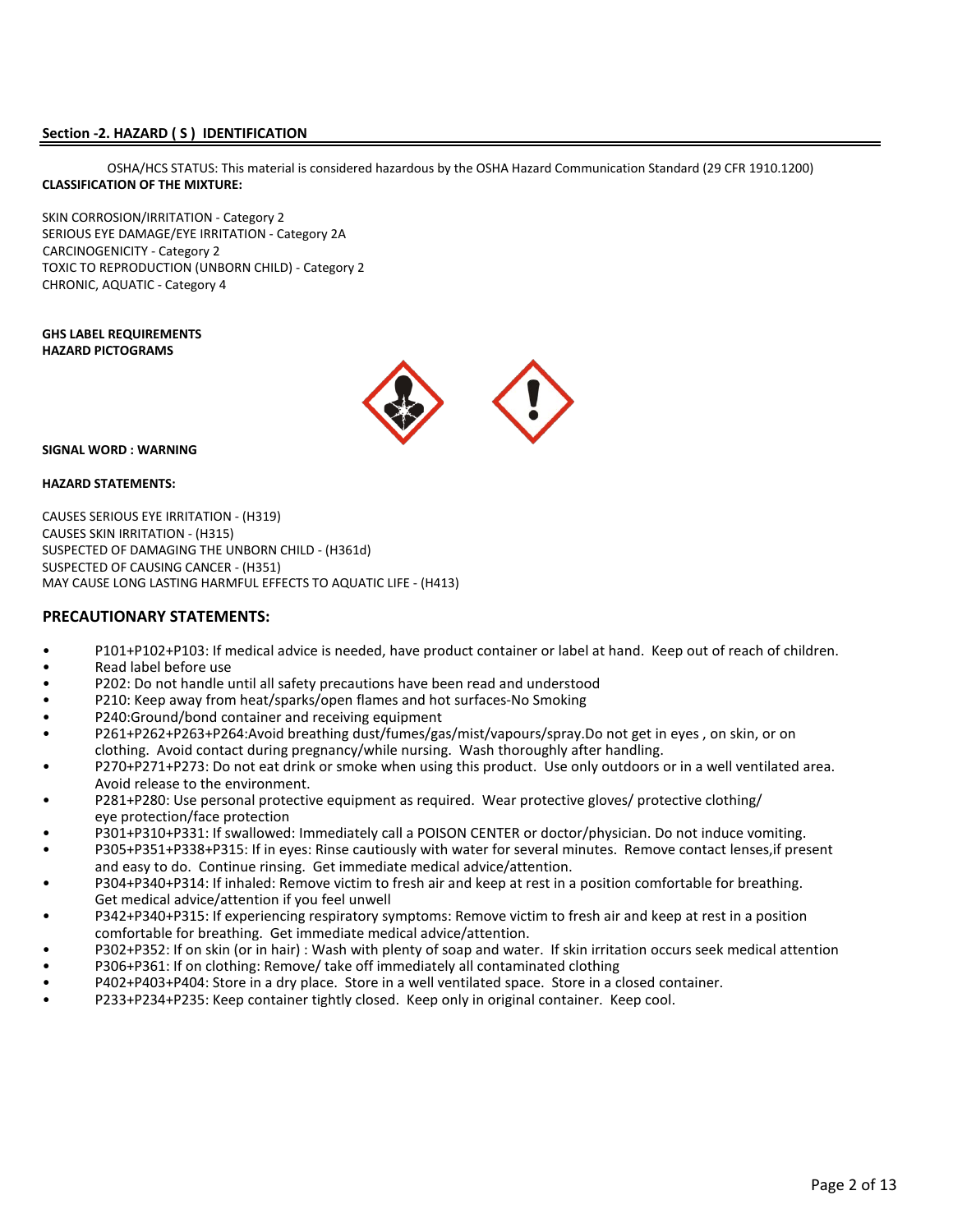# **Section -2. HAZARD ( S ) IDENTIFICATION**

**CLASSIFICATION OF THE MIXTURE:** OSHA/HCS STATUS: This material is considered hazardous by the OSHA Hazard Communication Standard (29 CFR 1910.1200)

CHRONIC, AQUATIC - Category 4 SKIN CORROSION/IRRITATION - Category 2 SERIOUS EYE DAMAGE/EYE IRRITATION - Category 2A CARCINOGENICITY - Category 2 TOXIC TO REPRODUCTION (UNBORN CHILD) - Category 2

**GHS LABEL REQUIREMENTS HAZARD PICTOGRAMS**



**SIGNAL WORD : WARNING**

#### **HAZARD STATEMENTS:**

SUSPECTED OF CAUSING CANCER - (H351) MAY CAUSE LONG LASTING HARMFUL EFFECTS TO AQUATIC LIFE - (H413) SUSPECTED OF DAMAGING THE UNBORN CHILD - (H361d) CAUSES SERIOUS EYE IRRITATION - (H319) CAUSES SKIN IRRITATION - (H315)

# **PRECAUTIONARY STATEMENTS:**

- P101+P102+P103: If medical advice is needed, have product container or label at hand. Keep out of reach of children.
- Read label before use
- P202: Do not handle until all safety precautions have been read and understood
- P210: Keep away from heat/sparks/open flames and hot surfaces-No Smoking
- P240:Ground/bond container and receiving equipment
- P261+P262+P263+P264:Avoid breathing dust/fumes/gas/mist/vapours/spray.Do not get in eyes , on skin, or on clothing. Avoid contact during pregnancy/while nursing. Wash thoroughly after handling.
- P270+P271+P273: Do not eat drink or smoke when using this product. Use only outdoors or in a well ventilated area. Avoid release to the environment.
- P281+P280: Use personal protective equipment as required. Wear protective gloves/ protective clothing/ eye protection/face protection
- P301+P310+P331: If swallowed: Immediately call a POISON CENTER or doctor/physician. Do not induce vomiting.
- P305+P351+P338+P315: If in eyes: Rinse cautiously with water for several minutes. Remove contact lenses,if present and easy to do. Continue rinsing. Get immediate medical advice/attention.
- P304+P340+P314: If inhaled: Remove victim to fresh air and keep at rest in a position comfortable for breathing. Get medical advice/attention if you feel unwell
- P342+P340+P315: If experiencing respiratory symptoms: Remove victim to fresh air and keep at rest in a position comfortable for breathing. Get immediate medical advice/attention.
- P302+P352: If on skin (or in hair) : Wash with plenty of soap and water. If skin irritation occurs seek medical attention
- P306+P361: If on clothing: Remove/ take off immediately all contaminated clothing
- P402+P403+P404: Store in a dry place. Store in a well ventilated space. Store in a closed container.
- P233+P234+P235: Keep container tightly closed. Keep only in original container. Keep cool.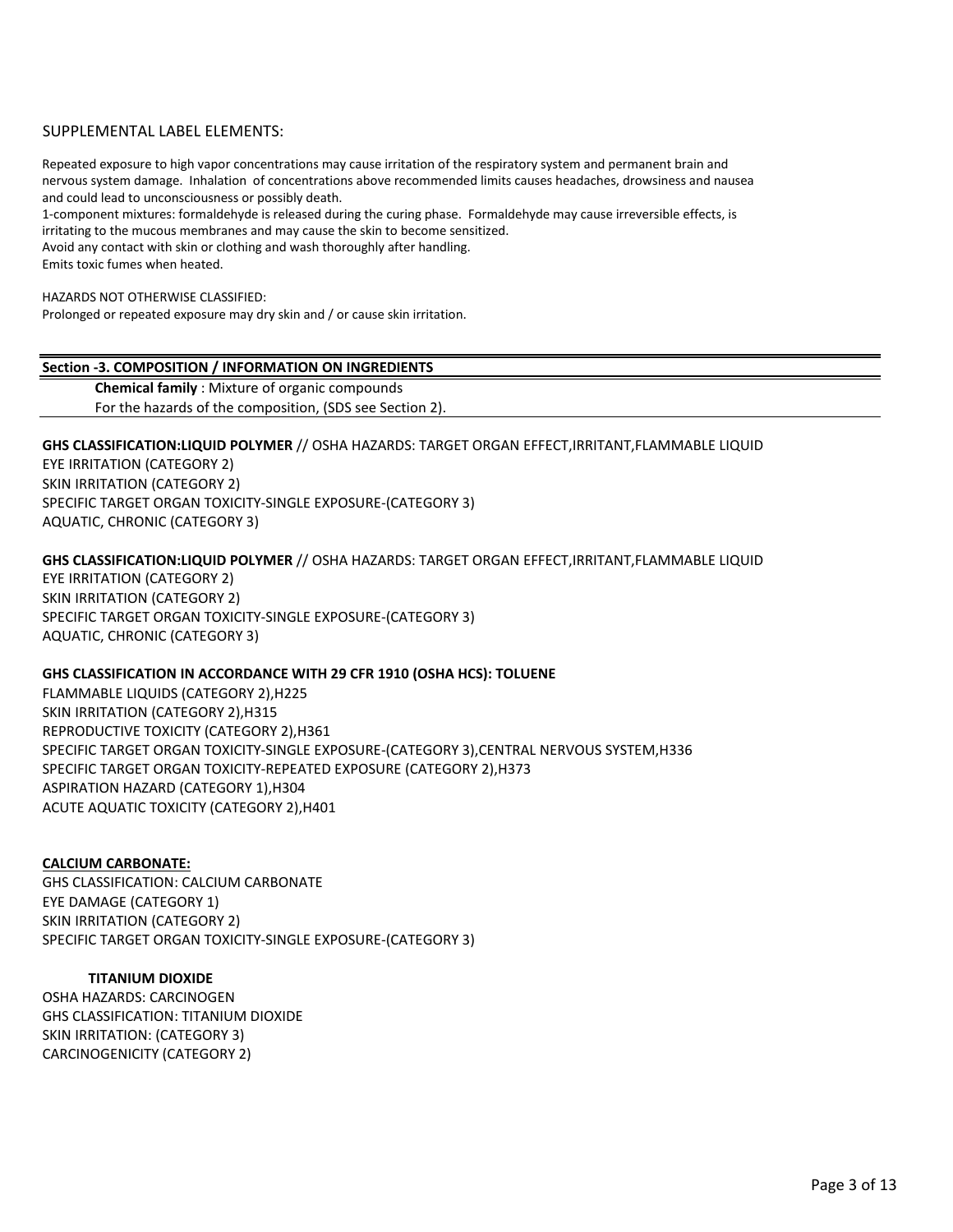# SUPPLEMENTAL LABEL ELEMENTS:

nervous system damage. Inhalation of concentrations above recommended limits causes headaches, drowsiness and nausea and could lead to unconsciousness or possibly death. Repeated exposure to high vapor concentrations may cause irritation of the respiratory system and permanent brain and

Avoid any contact with skin or clothing and wash thoroughly after handling. irritating to the mucous membranes and may cause the skin to become sensitized. 1-component mixtures: formaldehyde is released during the curing phase. Formaldehyde may cause irreversible effects, is

Emits toxic fumes when heated.

HAZARDS NOT OTHERWISE CLASSIFIED:

Prolonged or repeated exposure may dry skin and / or cause skin irritation.

# **Section -3. COMPOSITION / INFORMATION ON INGREDIENTS**

**Chemical family** : Mixture of organic compounds

For the hazards of the composition, (SDS see Section 2).

# **GHS CLASSIFICATION:LIQUID POLYMER** // OSHA HAZARDS: TARGET ORGAN EFFECT,IRRITANT,FLAMMABLE LIQUID

EYE IRRITATION (CATEGORY 2) SKIN IRRITATION (CATEGORY 2) SPECIFIC TARGET ORGAN TOXICITY-SINGLE EXPOSURE-(CATEGORY 3) AQUATIC, CHRONIC (CATEGORY 3)

# **GHS CLASSIFICATION:LIQUID POLYMER** // OSHA HAZARDS: TARGET ORGAN EFFECT,IRRITANT,FLAMMABLE LIQUID

EYE IRRITATION (CATEGORY 2) SKIN IRRITATION (CATEGORY 2) SPECIFIC TARGET ORGAN TOXICITY-SINGLE EXPOSURE-(CATEGORY 3) AQUATIC, CHRONIC (CATEGORY 3)

# **GHS CLASSIFICATION IN ACCORDANCE WITH 29 CFR 1910 (OSHA HCS): TOLUENE**

FLAMMABLE LIQUIDS (CATEGORY 2),H225 SKIN IRRITATION (CATEGORY 2),H315 REPRODUCTIVE TOXICITY (CATEGORY 2),H361 SPECIFIC TARGET ORGAN TOXICITY-SINGLE EXPOSURE-(CATEGORY 3),CENTRAL NERVOUS SYSTEM,H336 SPECIFIC TARGET ORGAN TOXICITY-REPEATED EXPOSURE (CATEGORY 2),H373 ASPIRATION HAZARD (CATEGORY 1),H304 ACUTE AQUATIC TOXICITY (CATEGORY 2),H401

# **CALCIUM CARBONATE:**

GHS CLASSIFICATION: CALCIUM CARBONATE EYE DAMAGE (CATEGORY 1) SKIN IRRITATION (CATEGORY 2) SPECIFIC TARGET ORGAN TOXICITY-SINGLE EXPOSURE-(CATEGORY 3)

#### **TITANIUM DIOXIDE**

OSHA HAZARDS: CARCINOGEN CARCINOGENICITY (CATEGORY 2) SKIN IRRITATION: (CATEGORY 3) GHS CLASSIFICATION: TITANIUM DIOXIDE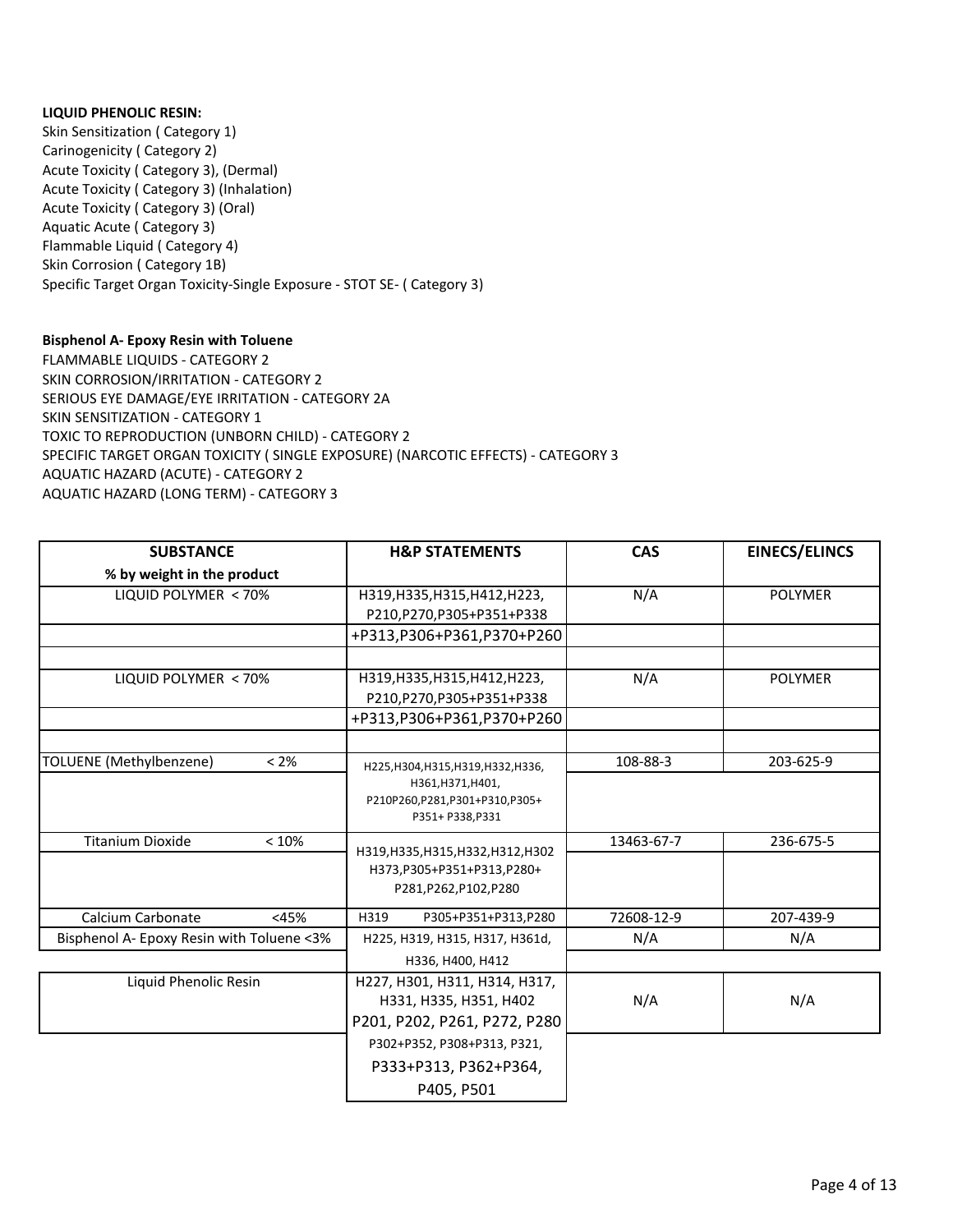# **LIQUID PHENOLIC RESIN:**

Skin Sensitization ( Category 1) Carinogenicity ( Category 2) Acute Toxicity ( Category 3), (Dermal) Acute Toxicity ( Category 3) (Inhalation) Acute Toxicity ( Category 3) (Oral) Aquatic Acute ( Category 3) Flammable Liquid ( Category 4) Skin Corrosion ( Category 1B) Specific Target Organ Toxicity-Single Exposure - STOT SE- ( Category 3)

#### **Bisphenol A- Epoxy Resin with Toluene**

FLAMMABLE LIQUIDS - CATEGORY 2 SKIN CORROSION/IRRITATION - CATEGORY 2 SERIOUS EYE DAMAGE/EYE IRRITATION - CATEGORY 2A SKIN SENSITIZATION - CATEGORY 1 TOXIC TO REPRODUCTION (UNBORN CHILD) - CATEGORY 2 SPECIFIC TARGET ORGAN TOXICITY ( SINGLE EXPOSURE) (NARCOTIC EFFECTS) - CATEGORY 3 AQUATIC HAZARD (ACUTE) - CATEGORY 2 AQUATIC HAZARD (LONG TERM) - CATEGORY 3

| <b>SUBSTANCE</b>                          | <b>H&amp;P STATEMENTS</b>           | <b>CAS</b> | <b>EINECS/ELINCS</b> |
|-------------------------------------------|-------------------------------------|------------|----------------------|
| % by weight in the product                |                                     |            |                      |
| LIQUID POLYMER < 70%                      | H319, H335, H315, H412, H223,       | N/A        | <b>POLYMER</b>       |
|                                           | P210,P270,P305+P351+P338            |            |                      |
|                                           | +P313,P306+P361,P370+P260           |            |                      |
| LIQUID POLYMER < 70%                      | H319, H335, H315, H412, H223,       | N/A        | <b>POLYMER</b>       |
|                                           | P210,P270,P305+P351+P338            |            |                      |
|                                           | +P313,P306+P361,P370+P260           |            |                      |
|                                           |                                     |            |                      |
| <b>TOLUENE</b> (Methylbenzene)<br>$< 2\%$ | H225, H304, H315, H319, H332, H336, | 108-88-3   | 203-625-9            |
|                                           | H361, H371, H401,                   |            |                      |
|                                           | P210P260,P281,P301+P310,P305+       |            |                      |
|                                           | P351+ P338, P331                    |            |                      |
| <b>Titanium Dioxide</b><br>< 10%          | H319, H335, H315, H332, H312, H302  | 13463-67-7 | 236-675-5            |
|                                           | H373,P305+P351+P313,P280+           |            |                      |
|                                           | P281, P262, P102, P280              |            |                      |
| Calcium Carbonate<br>$<$ 45%              | P305+P351+P313,P280<br>H319         | 72608-12-9 | 207-439-9            |
| Bisphenol A- Epoxy Resin with Toluene <3% | H225, H319, H315, H317, H361d,      | N/A        | N/A                  |
|                                           | H336, H400, H412                    |            |                      |
| Liquid Phenolic Resin                     | H227, H301, H311, H314, H317,       |            |                      |
|                                           | H331, H335, H351, H402              | N/A        | N/A                  |
|                                           | P201, P202, P261, P272, P280        |            |                      |
|                                           | P302+P352, P308+P313, P321,         |            |                      |
|                                           | P333+P313, P362+P364,               |            |                      |
|                                           | P405, P501                          |            |                      |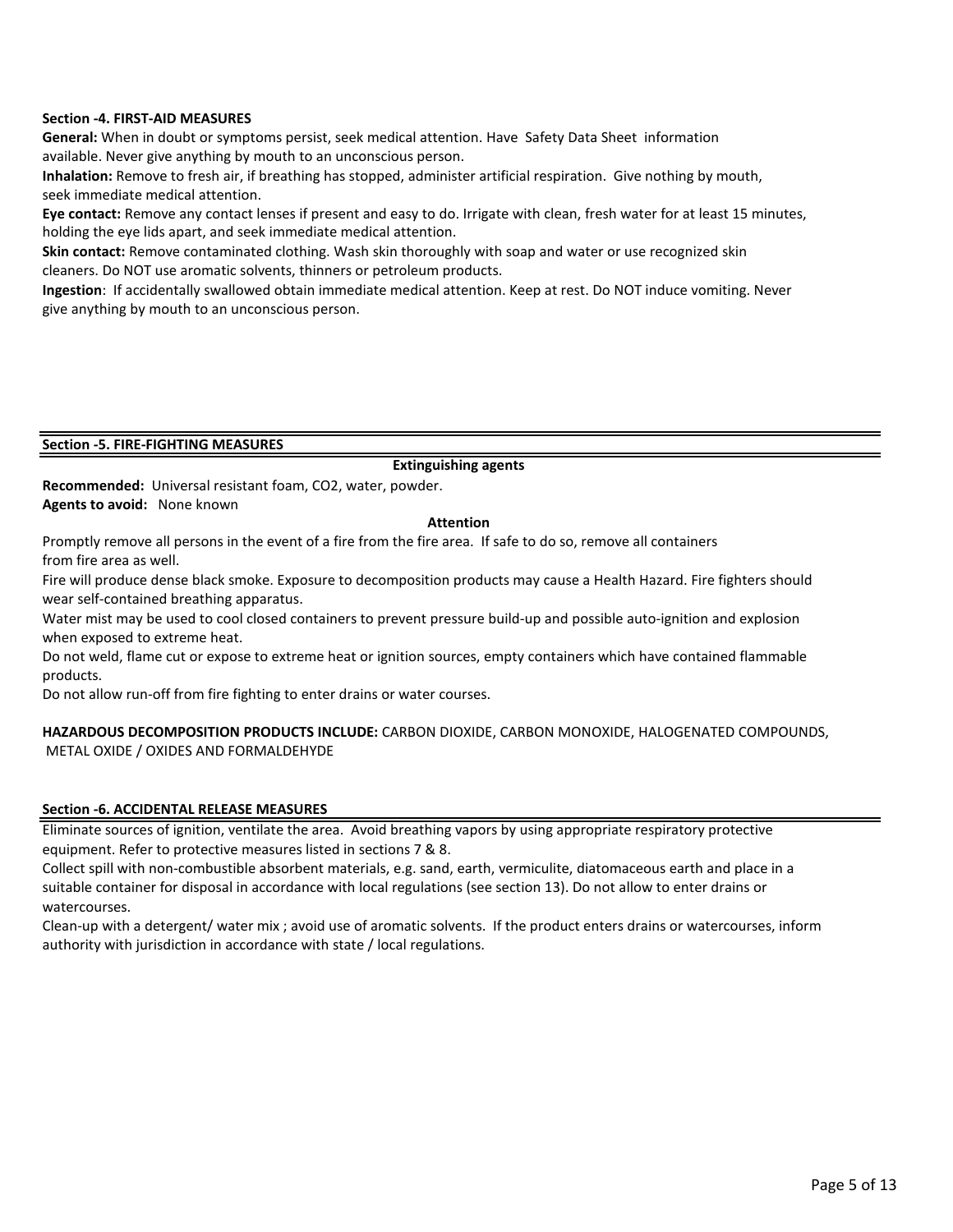#### **Section -4. FIRST-AID MEASURES**

**General:** When in doubt or symptoms persist, seek medical attention. Have Safety Data Sheet information available. Never give anything by mouth to an unconscious person.

**Inhalation:** Remove to fresh air, if breathing has stopped, administer artificial respiration. Give nothing by mouth, seek immediate medical attention.

**Eye contact:** Remove any contact lenses if present and easy to do. Irrigate with clean, fresh water for at least 15 minutes, holding the eye lids apart, and seek immediate medical attention.

**Skin contact:** Remove contaminated clothing. Wash skin thoroughly with soap and water or use recognized skin cleaners. Do NOT use aromatic solvents, thinners or petroleum products.

**Ingestion**: If accidentally swallowed obtain immediate medical attention. Keep at rest. Do NOT induce vomiting. Never give anything by mouth to an unconscious person.

#### **Section -5. FIRE-FIGHTING MEASURES**

#### **Extinguishing agents**

**Recommended:** Universal resistant foam, CO2, water, powder. **Agents to avoid:** None known

#### **Attention**

from fire area as well. Promptly remove all persons in the event of a fire from the fire area. If safe to do so, remove all containers

Fire will produce dense black smoke. Exposure to decomposition products may cause a Health Hazard. Fire fighters should wear self-contained breathing apparatus.

Water mist may be used to cool closed containers to prevent pressure build-up and possible auto-ignition and explosion when exposed to extreme heat.

Do not weld, flame cut or expose to extreme heat or ignition sources, empty containers which have contained flammable products.

Do not allow run-off from fire fighting to enter drains or water courses.

**HAZARDOUS DECOMPOSITION PRODUCTS INCLUDE:** CARBON DIOXIDE, CARBON MONOXIDE, HALOGENATED COMPOUNDS, METAL OXIDE / OXIDES AND FORMALDEHYDE

#### **Section -6. ACCIDENTAL RELEASE MEASURES**

Eliminate sources of ignition, ventilate the area. Avoid breathing vapors by using appropriate respiratory protective equipment. Refer to protective measures listed in sections 7 & 8.

Collect spill with non-combustible absorbent materials, e.g. sand, earth, vermiculite, diatomaceous earth and place in a suitable container for disposal in accordance with local regulations (see section 13). Do not allow to enter drains or watercourses.

Clean-up with a detergent/ water mix ; avoid use of aromatic solvents. If the product enters drains or watercourses, inform authority with jurisdiction in accordance with state / local regulations.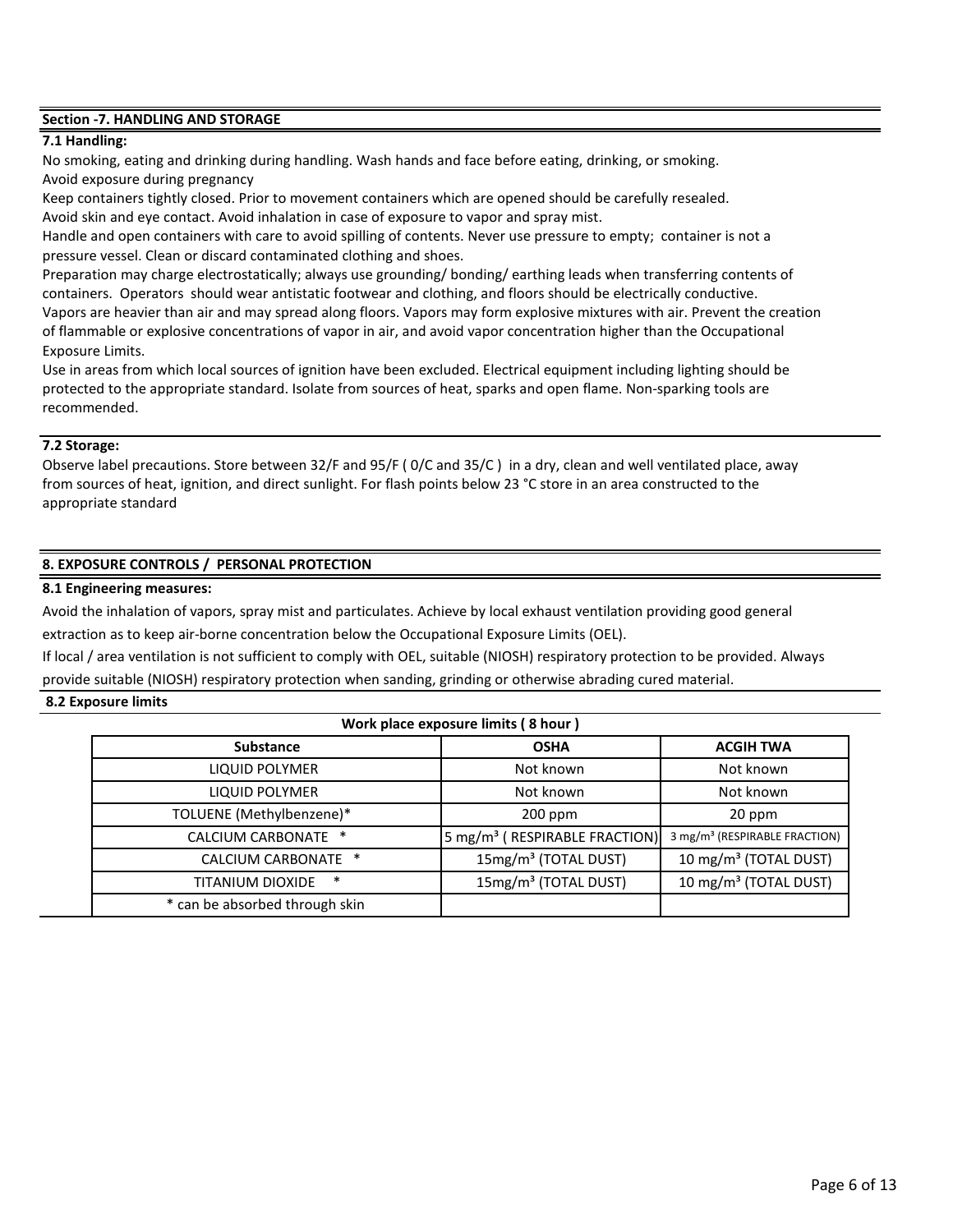# **Section -7. HANDLING AND STORAGE**

#### **7.1 Handling:**

No smoking, eating and drinking during handling. Wash hands and face before eating, drinking, or smoking. Avoid exposure during pregnancy

Keep containers tightly closed. Prior to movement containers which are opened should be carefully resealed.

Avoid skin and eye contact. Avoid inhalation in case of exposure to vapor and spray mist.

Handle and open containers with care to avoid spilling of contents. Never use pressure to empty; container is not a pressure vessel. Clean or discard contaminated clothing and shoes.

Preparation may charge electrostatically; always use grounding/ bonding/ earthing leads when transferring contents of containers. Operators should wear antistatic footwear and clothing, and floors should be electrically conductive. Vapors are heavier than air and may spread along floors. Vapors may form explosive mixtures with air. Prevent the creation of flammable or explosive concentrations of vapor in air, and avoid vapor concentration higher than the Occupational Exposure Limits.

Use in areas from which local sources of ignition have been excluded. Electrical equipment including lighting should be protected to the appropriate standard. Isolate from sources of heat, sparks and open flame. Non-sparking tools are recommended.

# **7.2 Storage:**

Observe label precautions. Store between 32/F and 95/F ( 0/C and 35/C ) in a dry, clean and well ventilated place, away from sources of heat, ignition, and direct sunlight. For flash points below 23 °C store in an area constructed to the appropriate standard

# **8. EXPOSURE CONTROLS / PERSONAL PROTECTION**

#### **8.1 Engineering measures:**

Avoid the inhalation of vapors, spray mist and particulates. Achieve by local exhaust ventilation providing good general extraction as to keep air-borne concentration below the Occupational Exposure Limits (OEL).

If local / area ventilation is not sufficient to comply with OEL, suitable (NIOSH) respiratory protection to be provided. Always provide suitable (NIOSH) respiratory protection when sanding, grinding or otherwise abrading cured material.

#### **8.2 Exposure limits**

| Work place exposure limits (8 hour) |                                           |                                           |  |  |  |
|-------------------------------------|-------------------------------------------|-------------------------------------------|--|--|--|
| <b>Substance</b>                    | <b>OSHA</b>                               | <b>ACGIH TWA</b>                          |  |  |  |
| <b>LIQUID POLYMER</b>               | Not known                                 | Not known                                 |  |  |  |
| <b>LIQUID POLYMER</b>               | Not known                                 | Not known                                 |  |  |  |
| TOLUENE (Methylbenzene)*            | 200 ppm                                   | 20 ppm                                    |  |  |  |
| CALCIUM CARBONATE *                 | 5 mg/m <sup>3</sup> (RESPIRABLE FRACTION) | 3 mg/m <sup>3</sup> (RESPIRABLE FRACTION) |  |  |  |
| CALCIUM CARBONATE *                 | 15mg/m <sup>3</sup> (TOTAL DUST)          | 10 mg/m <sup>3</sup> (TOTAL DUST)         |  |  |  |
| ∗<br>TITANIUM DIOXIDE               | 15mg/m <sup>3</sup> (TOTAL DUST)          | 10 mg/m <sup>3</sup> (TOTAL DUST)         |  |  |  |
| * can be absorbed through skin      |                                           |                                           |  |  |  |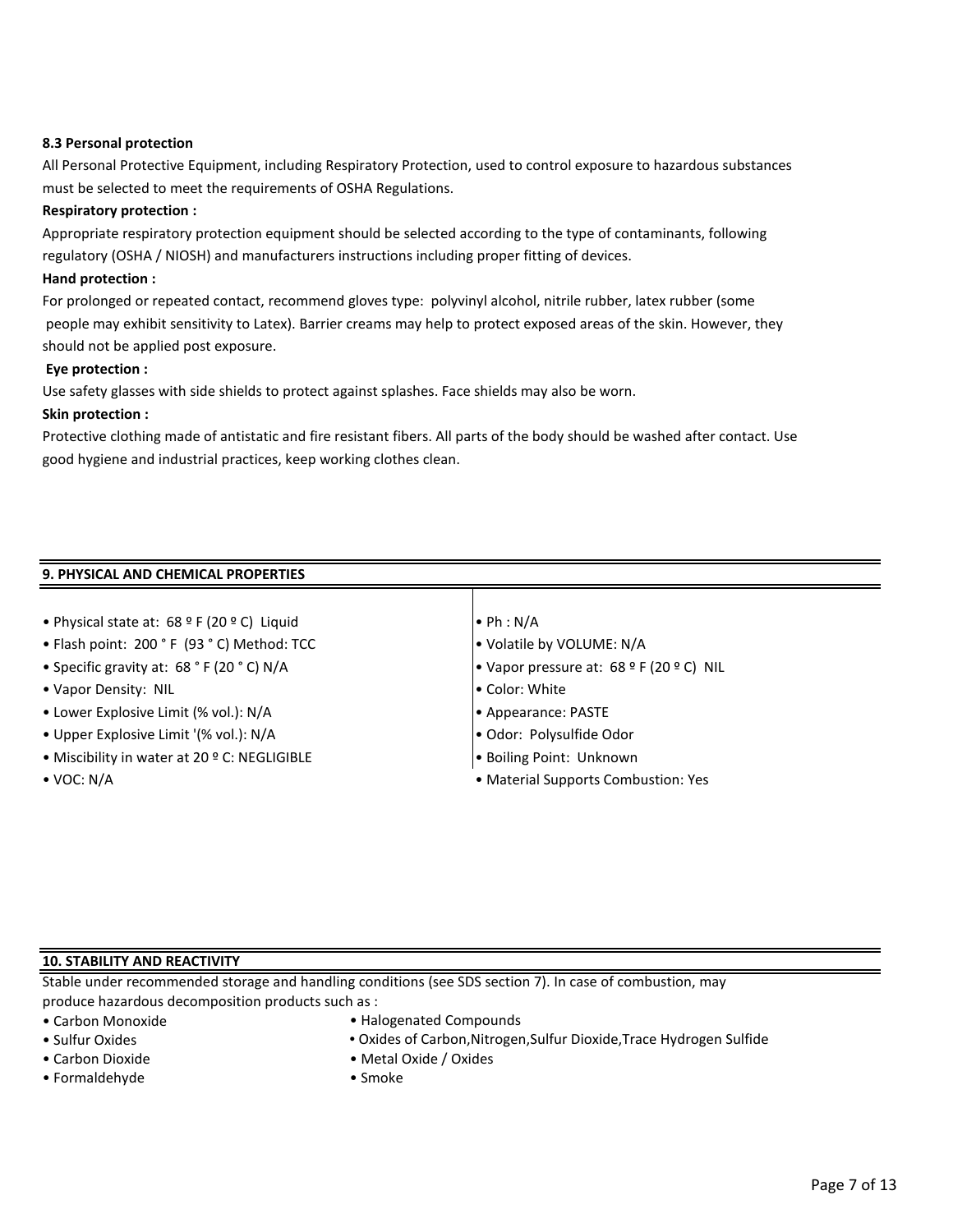# **8.3 Personal protection**

All Personal Protective Equipment, including Respiratory Protection, used to control exposure to hazardous substances must be selected to meet the requirements of OSHA Regulations.

# **Respiratory protection :**

Appropriate respiratory protection equipment should be selected according to the type of contaminants, following regulatory (OSHA / NIOSH) and manufacturers instructions including proper fitting of devices.

# **Hand protection :**

For prolonged or repeated contact, recommend gloves type: polyvinyl alcohol, nitrile rubber, latex rubber (some people may exhibit sensitivity to Latex). Barrier creams may help to protect exposed areas of the skin. However, they should not be applied post exposure.

# **Eye protection :**

Use safety glasses with side shields to protect against splashes. Face shields may also be worn.

# **Skin protection :**

Protective clothing made of antistatic and fire resistant fibers. All parts of the body should be washed after contact. Use good hygiene and industrial practices, keep working clothes clean.

# **9. PHYSICAL AND CHEMICAL PROPERTIES**

- Physical state at:  $68^{\circ}$  F (20 ° C) Liquid  $\bullet$  Ph : N/A
- Flash point: 200 ° F (93 ° C) Method: TCC  $\bullet$  Volatile by VOLUME: N/A
- Specific gravity at: 68 ° F (20 ° C) N/A Vapor pressure at: 68 º F (20 º C) NIL
- Vapor Density: NIL Color: White
- Lower Explosive Limit (% vol.): N/A **Appearance: PASTE**
- Upper Explosive Limit '(% vol.): N/A Odor: Polysulfide Odor
- Miscibility in water at 20 º C: NEGLIGIBLE Boiling Point: Unknown
- 
- 
- 
- 
- 
- 
- 
- 
- VOC: N/A Material Supports Combustion: Yes

# **10. STABILITY AND REACTIVITY**

Stable under recommended storage and handling conditions (see SDS section 7). In case of combustion, may produce hazardous decomposition products such as :

- Carbon Monoxide
- Sulfur Oxides
- 
- Formaldehyde Smoke
- Halogenated Compounds
	- Oxides of Carbon,Nitrogen,Sulfur Dioxide,Trace Hydrogen Sulfide
- Carbon Dioxide Metal Oxide / Oxides
	-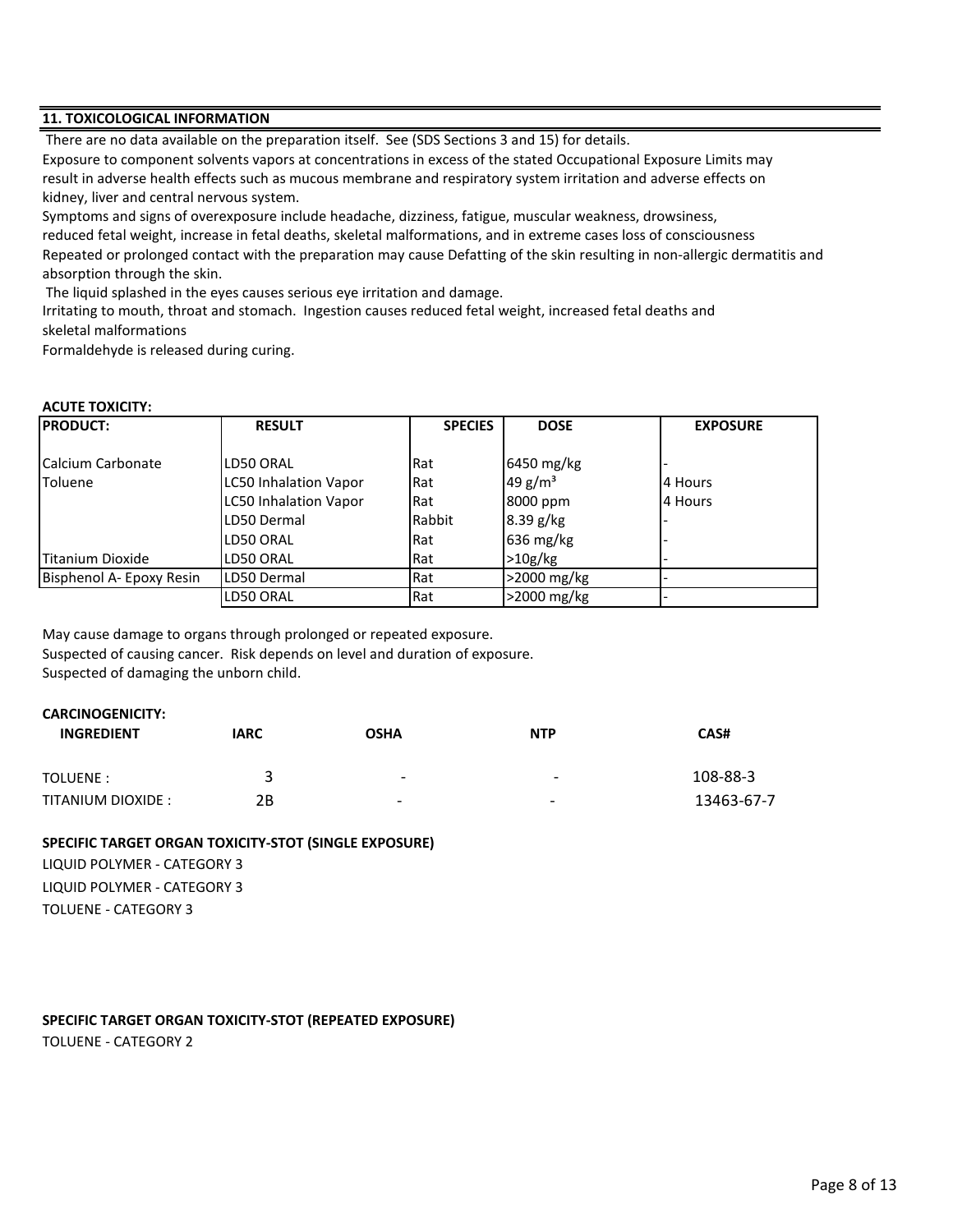#### **11. TOXICOLOGICAL INFORMATION**

There are no data available on the preparation itself. See (SDS Sections 3 and 15) for details.

Exposure to component solvents vapors at concentrations in excess of the stated Occupational Exposure Limits may result in adverse health effects such as mucous membrane and respiratory system irritation and adverse effects on kidney, liver and central nervous system.

Symptoms and signs of overexposure include headache, dizziness, fatigue, muscular weakness, drowsiness, Repeated or prolonged contact with the preparation may cause Defatting of the skin resulting in non-allergic dermatitis and absorption through the skin. reduced fetal weight, increase in fetal deaths, skeletal malformations, and in extreme cases loss of consciousness

The liquid splashed in the eyes causes serious eye irritation and damage.

Irritating to mouth, throat and stomach. Ingestion causes reduced fetal weight, increased fetal deaths and skeletal malformations

Formaldehyde is released during curing.

#### **ACUTE TOXICITY:**

| <b>PRODUCT:</b>            | <b>RESULT</b>         | <b>SPECIES</b> | <b>DOSE</b>   | <b>EXPOSURE</b> |
|----------------------------|-----------------------|----------------|---------------|-----------------|
| <b>I</b> Calcium Carbonate | LD50 ORAL             | Rat            | 6450 mg/kg    |                 |
| Toluene                    | LC50 Inhalation Vapor | Rat            | 49 $g/m3$     | 4 Hours         |
|                            | LC50 Inhalation Vapor | Rat            | 8000 ppm      | 4 Hours         |
|                            | LD50 Dermal           | Rabbit         | $8.39$ g/kg   |                 |
|                            | LD50 ORAL             | Rat            | 636 mg/kg     |                 |
| Titanium Dioxide           | LD50 ORAL             | Rat            | >10g/kg       |                 |
| Bisphenol A- Epoxy Resin   | LD50 Dermal           | Rat            | >2000 mg/kg   |                 |
|                            | LD50 ORAL             | Rat            | $>2000$ mg/kg |                 |

May cause damage to organs through prolonged or repeated exposure. Suspected of causing cancer. Risk depends on level and duration of exposure. Suspected of damaging the unborn child.

# **CARCINOGENICITY:**

| <b>INGREDIENT</b>  | IARC | OSHA                     | <b>NTP</b>               | CAS#       |
|--------------------|------|--------------------------|--------------------------|------------|
| TOLUENE:           |      | $\overline{\phantom{0}}$ | $\overline{\phantom{0}}$ | 108-88-3   |
| TITANIUM DIOXIDE : | 2В   | $\overline{\phantom{0}}$ | $\overline{\phantom{0}}$ | 13463-67-7 |

# **SPECIFIC TARGET ORGAN TOXICITY-STOT (SINGLE EXPOSURE)**

LIQUID POLYMER - CATEGORY 3 LIQUID POLYMER - CATEGORY 3

TOLUENE - CATEGORY 3

# **SPECIFIC TARGET ORGAN TOXICITY-STOT (REPEATED EXPOSURE)**

TOLUENE - CATEGORY 2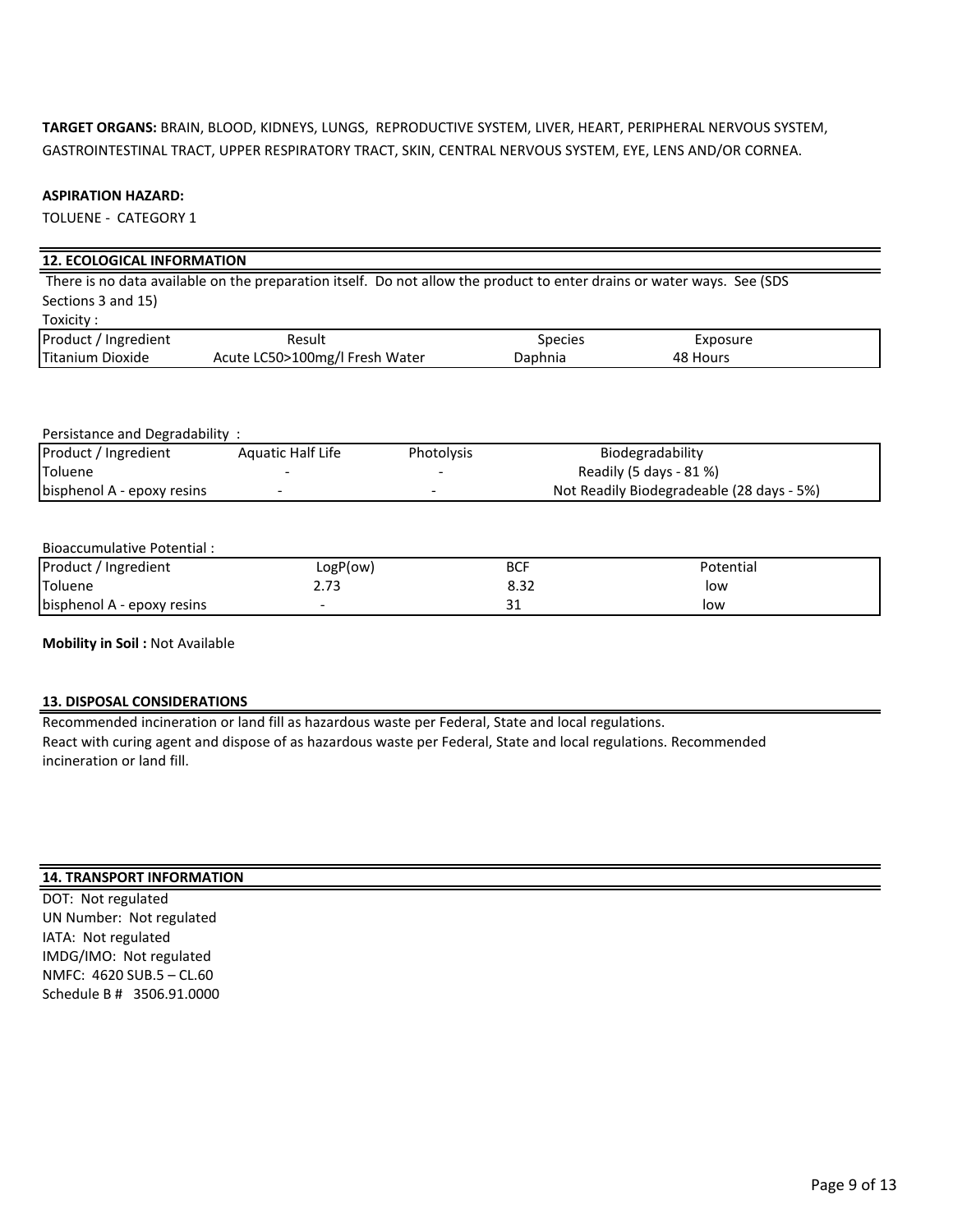**TARGET ORGANS:** BRAIN, BLOOD, KIDNEYS, LUNGS, REPRODUCTIVE SYSTEM, LIVER, HEART, PERIPHERAL NERVOUS SYSTEM, GASTROINTESTINAL TRACT, UPPER RESPIRATORY TRACT, SKIN, CENTRAL NERVOUS SYSTEM, EYE, LENS AND/OR CORNEA.

#### **ASPIRATION HAZARD:**

TOLUENE - CATEGORY 1

# **12. ECOLOGICAL INFORMATION**

 There is no data available on the preparation itself. Do not allow the product to enter drains or water ways. See (SDS Sections 3 and 15)

| OXICIT |  |
|--------|--|
|        |  |

| Product / Ingredient | Result                         | <b>Species</b> | Exposure |  |
|----------------------|--------------------------------|----------------|----------|--|
| Titanium Dioxide     | Acute LC50>100mg/l Fresh Water | Daphnia        | 48 Hours |  |

#### Persistance and Degradability :

| Product / Ingredient       | Aquatic Half Life | Photolysis | Biodegradability                          |
|----------------------------|-------------------|------------|-------------------------------------------|
| Toluene                    |                   |            | Readily (5 days - 81 %)                   |
| bisphenol A - epoxy resins |                   |            | Not Readily Biodegradeable (28 days - 5%) |

#### Bioaccumulative Potential :

| Product / Ingredient       | LogP(ow) | <b>BCF</b>  | Potential |
|----------------------------|----------|-------------|-----------|
| Toluene                    | د ، ، ،  | ר ה<br>0.JZ | low       |
| bisphenol A - epoxy resins |          | י ה<br>⊃⊥   | low       |

#### **Mobility in Soil :** Not Available

#### **13. DISPOSAL CONSIDERATIONS**

Recommended incineration or land fill as hazardous waste per Federal, State and local regulations. React with curing agent and dispose of as hazardous waste per Federal, State and local regulations. Recommended incineration or land fill.

#### **14. TRANSPORT INFORMATION**

DOT: Not regulated UN Number: Not regulated IATA: Not regulated IMDG/IMO: Not regulated NMFC: 4620 SUB.5 – CL.60 Schedule B # 3506.91.0000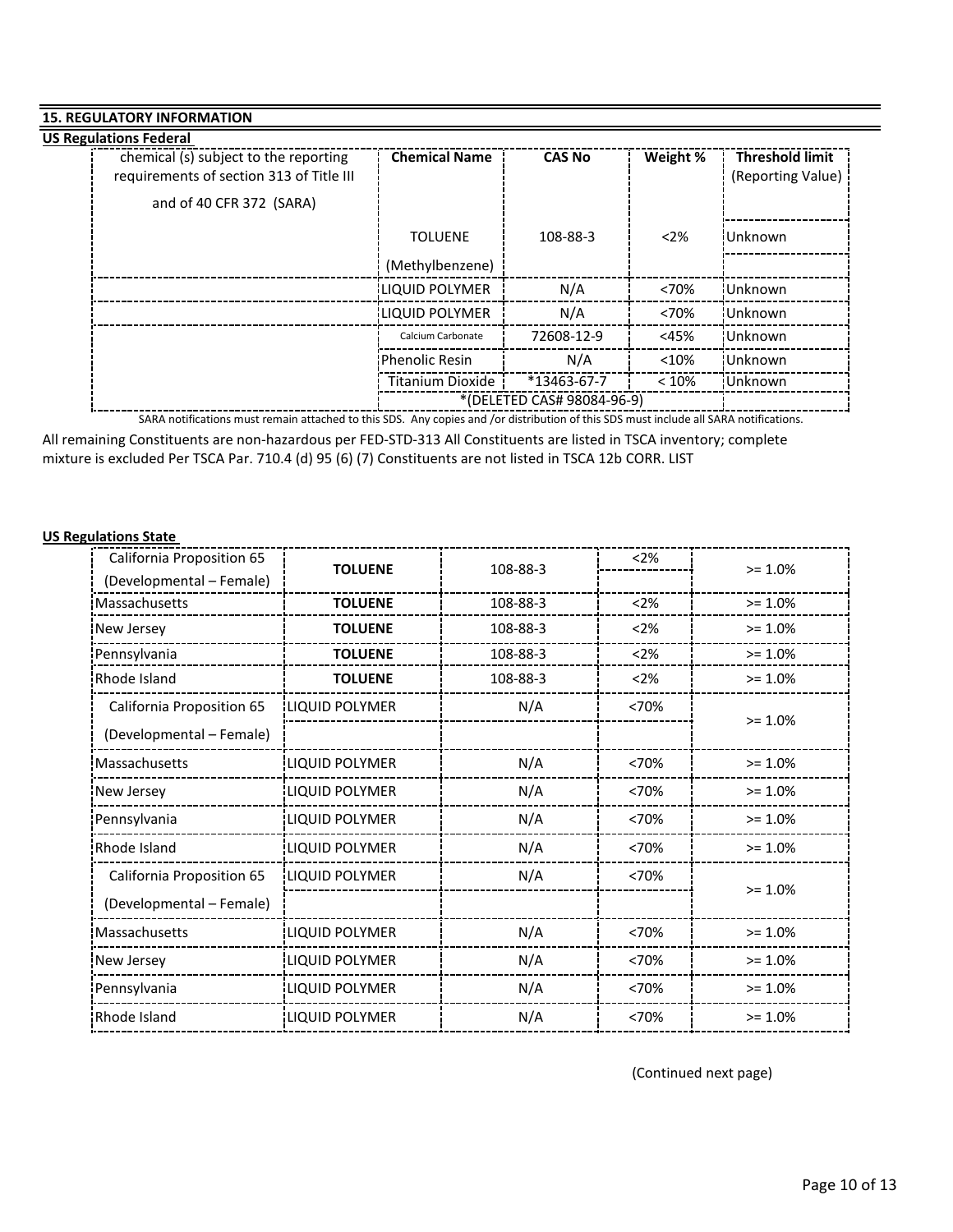# **15. REGULATORY INFORMATION**

| <b>US Regulations Federal</b>            |                       |                            |          |                        |
|------------------------------------------|-----------------------|----------------------------|----------|------------------------|
| chemical (s) subject to the reporting    | <b>Chemical Name</b>  | <b>CAS No</b>              | Weight % | <b>Threshold limit</b> |
| requirements of section 313 of Title III |                       |                            |          | (Reporting Value)      |
| and of 40 CFR 372 (SARA)                 |                       |                            |          |                        |
|                                          | <b>TOLUENE</b>        | 108-88-3                   | < 2%     | Unknown                |
|                                          | (Methylbenzene)       |                            |          |                        |
|                                          | LIQUID POLYMER        | N/A                        | <70%     | Unknown                |
|                                          | <b>LIQUID POLYMER</b> | N/A                        | <70%     | Unknown                |
|                                          | Calcium Carbonate     | 72608-12-9                 | $<$ 45%  | <b>Unknown</b>         |
|                                          | <b>Phenolic Resin</b> | N/A                        | < 10%    | Unknown                |
|                                          | Titanium Dioxide      | *13463-67-7                | < 10%    | Unknown                |
|                                          |                       | *(DELETED CAS# 98084-96-9) |          |                        |

All remaining Constituents are non-hazardous per FED-STD-313 All Constituents are listed in TSCA inventory; complete SARA notifications must remain attached to this SDS. Any copies and /or distribution of this SDS must include all SARA notifications.

mixture is excluded Per TSCA Par. 710.4 (d) 95 (6) (7) Constituents are not listed in TSCA 12b CORR. LIST

#### **US Regulations State**

| California Proposition 65 | <b>TOLUENE</b>        | 108-88-3 | < 2% | $>= 1.0%$ |
|---------------------------|-----------------------|----------|------|-----------|
| (Developmental - Female)  |                       |          |      |           |
| Massachusetts             | <b>TOLUENE</b>        | 108-88-3 | < 2% | $>= 1.0%$ |
| New Jersey                | <b>TOLUENE</b>        | 108-88-3 | < 2% | $>= 1.0%$ |
| Pennsylvania              | <b>TOLUENE</b>        | 108-88-3 | < 2% | $>= 1.0%$ |
| Rhode Island              | <b>TOLUENE</b>        | 108-88-3 | <2%  | $>= 1.0%$ |
| California Proposition 65 | <b>LIQUID POLYMER</b> | N/A      | <70% | $>= 1.0%$ |
| (Developmental - Female)  |                       |          |      |           |
| Massachusetts             | <b>LIQUID POLYMER</b> | N/A      | <70% | $>= 1.0%$ |
| New Jersey                | LIQUID POLYMER        | N/A      | <70% | $>= 1.0%$ |
| Pennsylvania              | LIQUID POLYMER        | N/A      | <70% | $>= 1.0%$ |
| Rhode Island              | LIQUID POLYMER        | N/A      | <70% | $>= 1.0%$ |
| California Proposition 65 | <b>LIQUID POLYMER</b> | N/A      | <70% | $>= 1.0%$ |
| (Developmental - Female)  |                       |          |      |           |
| Massachusetts             | LIQUID POLYMER        | N/A      | <70% | $>= 1.0%$ |
| New Jersey                | LIQUID POLYMER        | N/A      | <70% | $>= 1.0%$ |
| Pennsylvania              | LIQUID POLYMER        | N/A      | <70% | $>= 1.0%$ |
| Rhode Island              | <b>LIQUID POLYMER</b> | N/A      | <70% | $>= 1.0%$ |

(Continued next page)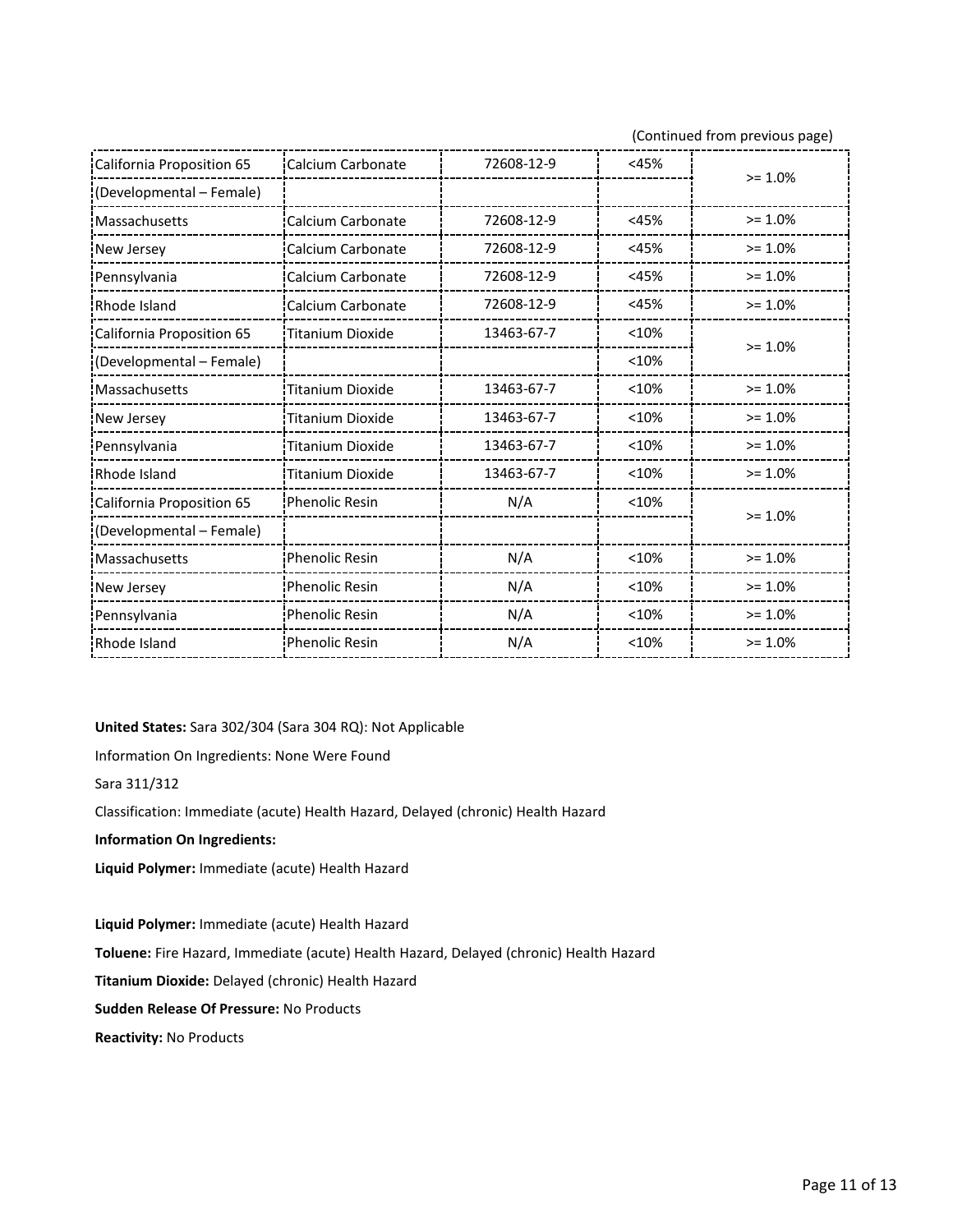| California Proposition 65 | Calcium Carbonate       | 72608-12-9 | $<$ 45% | $>= 1.0%$ |  |
|---------------------------|-------------------------|------------|---------|-----------|--|
| (Developmental - Female)  |                         |            |         |           |  |
| Massachusetts             | Calcium Carbonate       | 72608-12-9 | $<$ 45% | $>= 1.0%$ |  |
| New Jersey                | Calcium Carbonate       | 72608-12-9 | $<$ 45% | $>= 1.0%$ |  |
| Pennsylvania              | Calcium Carbonate       | 72608-12-9 | <45%    | $>= 1.0%$ |  |
| Rhode Island              | Calcium Carbonate       | 72608-12-9 | $<$ 45% | $>= 1.0%$ |  |
| California Proposition 65 | Titanium Dioxide        | 13463-67-7 | < 10%   | $>= 1.0%$ |  |
| (Developmental - Female)  |                         |            | < 10%   |           |  |
| Massachusetts             | Titanium Dioxide        | 13463-67-7 | < 10%   | $>= 1.0%$ |  |
| New Jersey                | <b>Titanium Dioxide</b> | 13463-67-7 | < 10%   | $>= 1.0%$ |  |
| Pennsylvania              | Titanium Dioxide        | 13463-67-7 | < 10%   | $>= 1.0%$ |  |
| Rhode Island              | <b>Titanium Dioxide</b> | 13463-67-7 | <10%    | $>= 1.0%$ |  |
| California Proposition 65 | <b>Phenolic Resin</b>   | N/A        | < 10%   | $>= 1.0%$ |  |
| (Developmental - Female)  |                         |            |         |           |  |
| Massachusetts             | <b>Phenolic Resin</b>   | N/A        | <10%    | $>= 1.0%$ |  |
| New Jersey                | Phenolic Resin          | N/A        | <10%    | $>= 1.0%$ |  |
| Pennsylvania              | Phenolic Resin          | N/A        | <10%    | $>= 1.0%$ |  |
| Rhode Island              | Phenolic Resin          | N/A        | < 10%   | $>= 1.0%$ |  |
|                           |                         |            |         |           |  |

(Continued from previous page)

# **United States:** Sara 302/304 (Sara 304 RQ): Not Applicable

Information On Ingredients: None Were Found

Sara 311/312

Classification: Immediate (acute) Health Hazard, Delayed (chronic) Health Hazard

# **Information On Ingredients:**

**Liquid Polymer:** Immediate (acute) Health Hazard

**Liquid Polymer:** Immediate (acute) Health Hazard

**Toluene:** Fire Hazard, Immediate (acute) Health Hazard, Delayed (chronic) Health Hazard

**Titanium Dioxide:** Delayed (chronic) Health Hazard

**Sudden Release Of Pressure:** No Products

**Reactivity:** No Products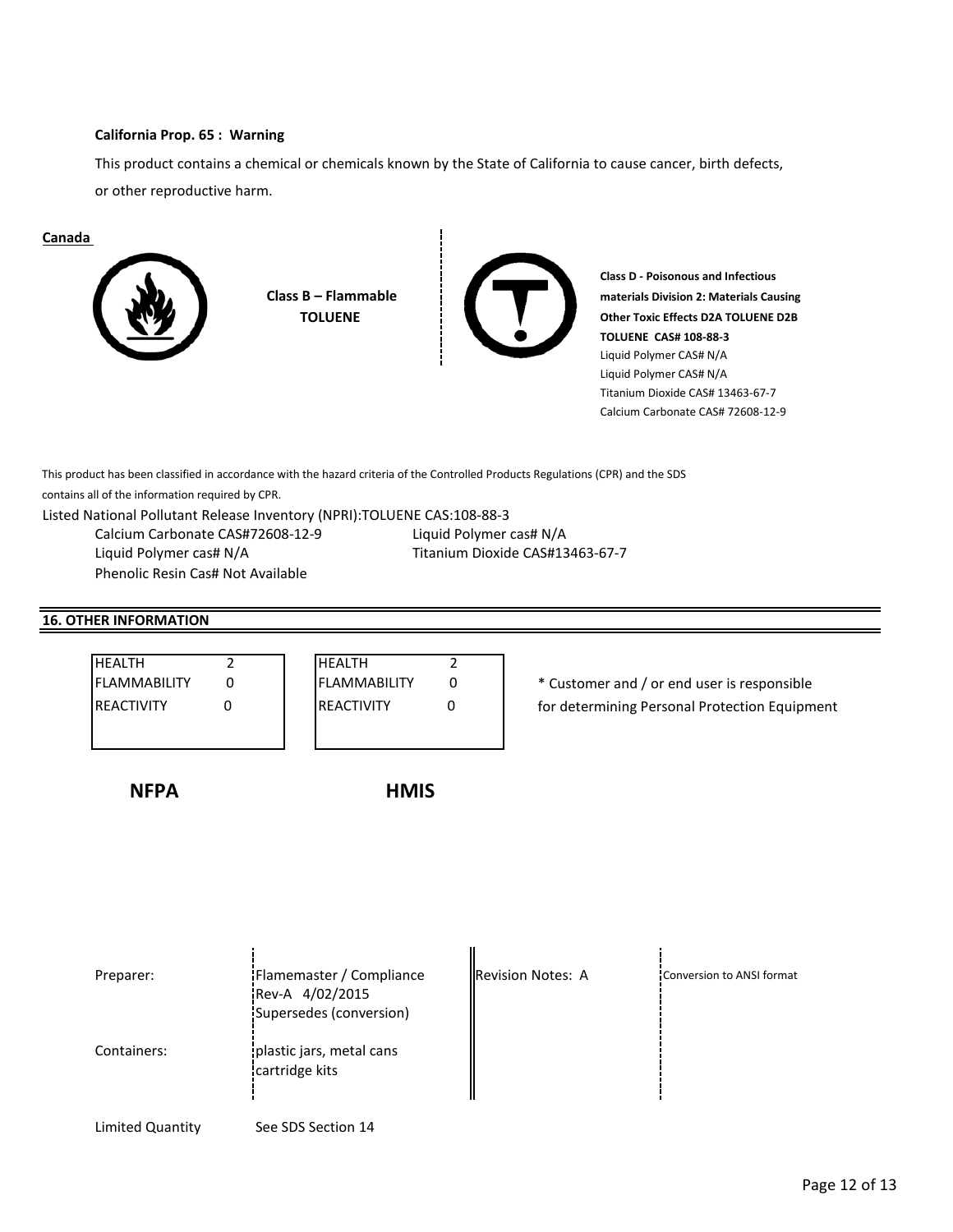#### **California Prop. 65 : Warning**

This product contains a chemical or chemicals known by the State of California to cause cancer, birth defects, or other reproductive harm.

#### **Canada**



**Class B – Flammable TOLUENE** 



**Class D - Poisonous and Infectious materials Division 2: Materials Causing Other Toxic Effects D2A TOLUENE D2B TOLUENE CAS# 108-88-3** Liquid Polymer CAS# N/A Calcium Carbonate CAS# 72608-12-9 Liquid Polymer CAS# N/A Titanium Dioxide CAS# 13463-67-7

This product has been classified in accordance with the hazard criteria of the Controlled Products Regulations (CPR) and the SDS

contains all of the information required by CPR.

Listed National Pollutant Release Inventory (NPRI):TOLUENE CAS:108-88-3

Phenolic Resin Cas# Not Available Calcium Carbonate CAS#72608-12-9

Liquid Polymer cas# N/A Titanium Dioxide CAS#13463-67-7 Liquid Polymer cas# N/A

#### **16. OTHER INFORMATION**

| <b>HFALTH</b>       | 2 |
|---------------------|---|
| <b>FLAMMABILITY</b> | n |
| <b>REACTIVITY</b>   | U |
|                     |   |



\* Customer and / or end user is responsible for determining Personal Protection Equipment

 **NFPA**

**HMIS**

| Preparer:        | Flamemaster / Compliance<br>Rev-A 4/02/2015<br>Supersedes (conversion) | <b>Revision Notes: A</b> | Conversion to ANSI format |
|------------------|------------------------------------------------------------------------|--------------------------|---------------------------|
| Containers:      | plastic jars, metal cans<br>cartridge kits                             |                          |                           |
| Limited Quantity | See SDS Section 14                                                     |                          |                           |